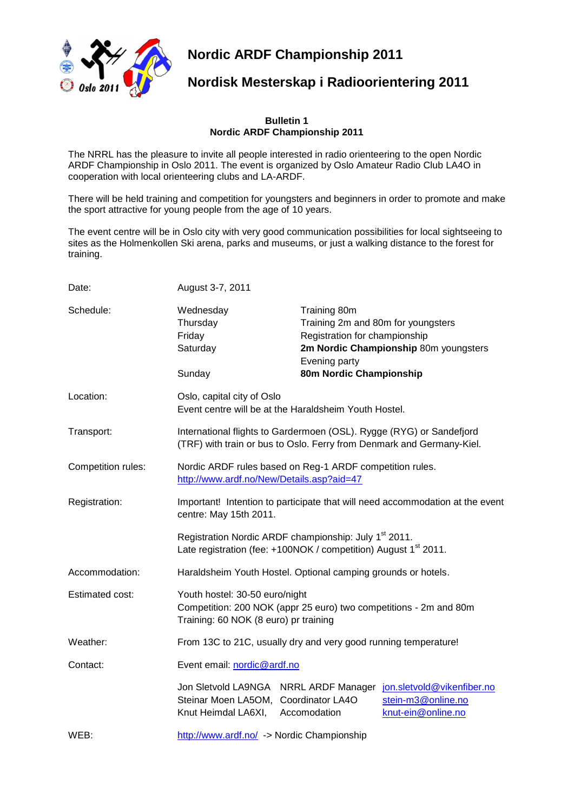

**Nordic ARDF Championship 2011**

# **Nordisk Mesterskap i Radioorientering 2011**

#### **Bulletin 1 Nordic ARDF Championship 2011**

The NRRL has the pleasure to invite all people interested in radio orienteering to the open Nordic ARDF Championship in Oslo 2011. The event is organized by Oslo Amateur Radio Club LA4O in cooperation with local orienteering clubs and LA-ARDF.

There will be held training and competition for youngsters and beginners in order to promote and make the sport attractive for young people from the age of 10 years.

The event centre will be in Oslo city with very good communication possibilities for local sightseeing to sites as the Holmenkollen Ski arena, parks and museums, or just a walking distance to the forest for training.

| Date:              | August 3-7, 2011                                                                                                                                 |                                                                |                                                                                                              |
|--------------------|--------------------------------------------------------------------------------------------------------------------------------------------------|----------------------------------------------------------------|--------------------------------------------------------------------------------------------------------------|
| Schedule:          | Wednesday<br>Thursday<br>Friday<br>Saturday                                                                                                      | Training 80m<br>Registration for championship<br>Evening party | Training 2m and 80m for youngsters<br>2m Nordic Championship 80m youngsters                                  |
|                    | Sunday                                                                                                                                           | 80m Nordic Championship                                        |                                                                                                              |
| Location:          | Oslo, capital city of Oslo<br>Event centre will be at the Haraldsheim Youth Hostel.                                                              |                                                                |                                                                                                              |
| Transport:         | International flights to Gardermoen (OSL). Rygge (RYG) or Sandefjord<br>(TRF) with train or bus to Oslo. Ferry from Denmark and Germany-Kiel.    |                                                                |                                                                                                              |
| Competition rules: | Nordic ARDF rules based on Reg-1 ARDF competition rules.<br>http://www.ardf.no/New/Details.asp?aid=47                                            |                                                                |                                                                                                              |
| Registration:      | Important! Intention to participate that will need accommodation at the event<br>centre: May 15th 2011.                                          |                                                                |                                                                                                              |
|                    | Registration Nordic ARDF championship: July 1 <sup>st</sup> 2011.<br>Late registration (fee: +100NOK / competition) August 1 <sup>st</sup> 2011. |                                                                |                                                                                                              |
| Accommodation:     | Haraldsheim Youth Hostel. Optional camping grounds or hotels.                                                                                    |                                                                |                                                                                                              |
| Estimated cost:    | Youth hostel: 30-50 euro/night<br>Competition: 200 NOK (appr 25 euro) two competitions - 2m and 80m<br>Training: 60 NOK (8 euro) pr training     |                                                                |                                                                                                              |
| Weather:           | From 13C to 21C, usually dry and very good running temperature!                                                                                  |                                                                |                                                                                                              |
| Contact:           | Event email: nordic@ardf.no                                                                                                                      |                                                                |                                                                                                              |
|                    | Steinar Moen LA5OM, Coordinator LA4O<br>Knut Heimdal LA6XI,                                                                                      | Accomodation                                                   | Jon Sletvold LA9NGA NRRL ARDF Manager jon.sletvold@vikenfiber.no<br>stein-m3@online.no<br>knut-ein@online.no |
| WEB:               | http://www.ardf.no/ -> Nordic Championship                                                                                                       |                                                                |                                                                                                              |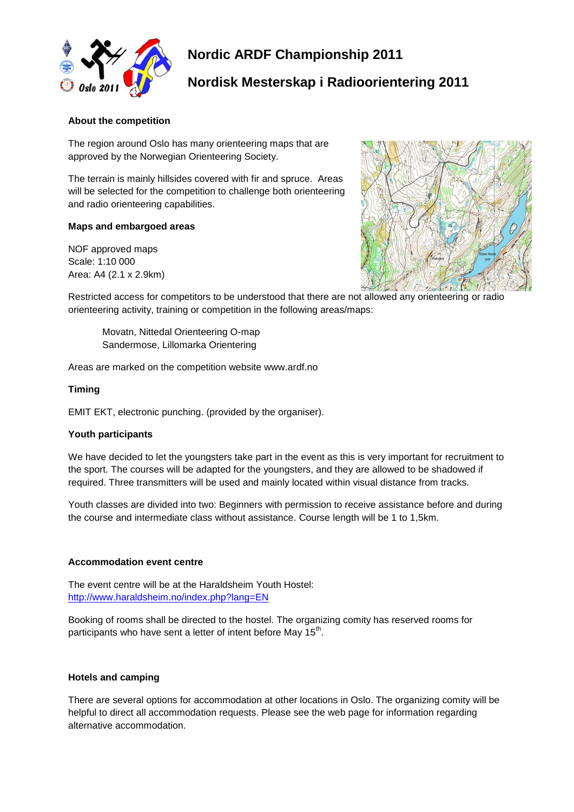

# **Nordic ARDF Championship 2011**

# **Nordisk Mesterskap i Radioorientering 2011**

## **About the competition**

The region around Oslo has many orienteering maps that are approved by the Norwegian Orienteering Society.

The terrain is mainly hillsides covered with fir and spruce. Areas will be selected for the competition to challenge both orienteering and radio orienteering capabilities.

## **Maps and embargoed areas**

NOF approved maps Scale: 1:10 000 Area: A4 (2.1 x 2.9km)



Restricted access for competitors to be understood that there are not allowed any orienteering or radio orienteering activity, training or competition in the following areas/maps:

Movatn, Nittedal Orienteering O-map Sandermose, Lillomarka Orientering

Areas are marked on the competition website www.ardf.no

#### **Timing**

EMIT EKT, electronic punching. (provided by the organiser).

## **Youth participants**

We have decided to let the youngsters take part in the event as this is very important for recruitment to the sport. The courses will be adapted for the youngsters, and they are allowed to be shadowed if required. Three transmitters will be used and mainly located within visual distance from tracks.

Youth classes are divided into two: Beginners with permission to receive assistance before and during the course and intermediate class without assistance. Course length will be 1 to 1,5km.

#### **Accommodation event centre**

The event centre will be at the Haraldsheim Youth Hostel: <http://www.haraldsheim.no/index.php?lang=EN>

Booking of rooms shall be directed to the hostel. The organizing comity has reserved rooms for participants who have sent a letter of intent before May 15<sup>th</sup>.

#### **Hotels and camping**

There are several options for accommodation at other locations in Oslo. The organizing comity will be helpful to direct all accommodation requests. Please see the web page for information regarding alternative accommodation.